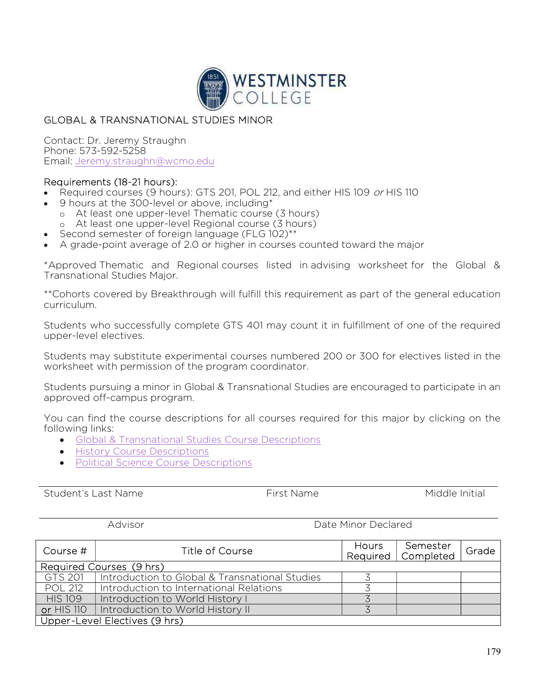

## GLOBAL & TRANSNATIONAL STUDIES MINOR

Contact: Dr. Jeremy Straughn Phone: 573-592-5258 Email: Jeremy.straughn@wcmo.edu

## Requirements (18-21 hours):

- Required courses (9 hours): GTS 201, POL 212, and either HIS 109 or HIS 110
- 9 hours at the 300-level or above, including\*
	- o At least one upper-level Thematic course (3 hours)
	- o At least one upper-level Regional course (3 hours)
- Second semester of foreign language (FLG 102)\*\*
- A grade-point average of 2.0 or higher in courses counted toward the major

\*Approved Thematic and Regional courses listed in advising worksheet for the Global & Transnational Studies Major.

\*\*Cohorts covered by Breakthrough will fulfill this requirement as part of the general education curriculum.

Students who successfully complete GTS 401 may count it in fulfillment of one of the required upper-level electives.

Students may substitute experimental courses numbered 200 or 300 for electives listed in the worksheet with permission of the program coordinator.

Students pursuing a minor in Global & Transnational Studies are encouraged to participate in an approved off-campus program.

You can find the course descriptions for all courses required for this major by clicking on the following links:

- Global & Transnational Studies Course Descriptions
- **•** History Course Descriptions
- Political Science Course Descriptions

Student's Last Name The Student's Last Name Controller Middle Initial

Advisor **Date Minor Declared** 

| Course #                      | Title of Course                                | <b>Hours</b> | Semester<br>Required   Completed | Grade |  |  |  |
|-------------------------------|------------------------------------------------|--------------|----------------------------------|-------|--|--|--|
| Required Courses (9 hrs)      |                                                |              |                                  |       |  |  |  |
| GTS 201                       | Introduction to Global & Transnational Studies |              |                                  |       |  |  |  |
| <b>POL 212</b>                | Introduction to International Relations        |              |                                  |       |  |  |  |
| <b>HIS 109</b>                | Introduction to World History I                |              |                                  |       |  |  |  |
| <b>or HIS 110</b>             | Introduction to World History II               |              |                                  |       |  |  |  |
| Upper-Level Electives (9 hrs) |                                                |              |                                  |       |  |  |  |